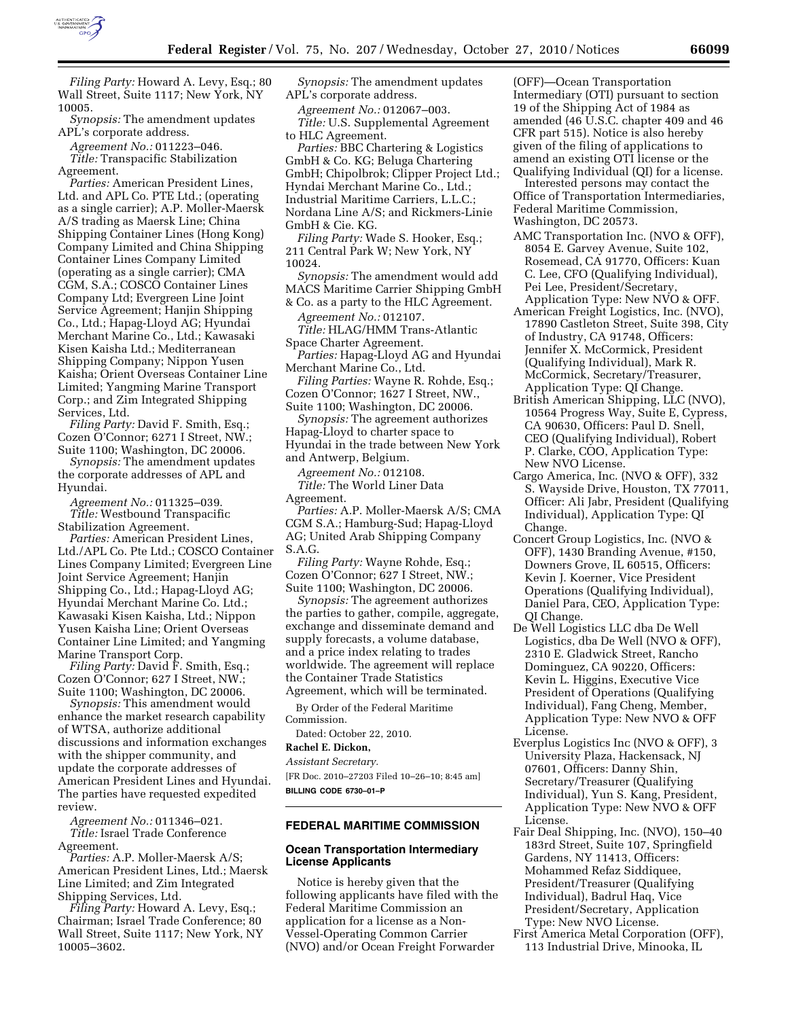

*Filing Party:* Howard A. Levy, Esq.; 80 Wall Street, Suite 1117; New York, NY 10005.

*Synopsis:* The amendment updates APL's corporate address.

*Agreement No.:* 011223–046. *Title:* Transpacific Stabilization Agreement.

*Parties:* American President Lines, Ltd. and APL Co. PTE Ltd.; (operating as a single carrier); A.P. Moller-Maersk A/S trading as Maersk Line; China Shipping Container Lines (Hong Kong) Company Limited and China Shipping Container Lines Company Limited (operating as a single carrier); CMA CGM, S.A.; COSCO Container Lines Company Ltd; Evergreen Line Joint Service Agreement; Hanjin Shipping Co., Ltd.; Hapag-Lloyd AG; Hyundai Merchant Marine Co., Ltd.; Kawasaki Kisen Kaisha Ltd.; Mediterranean Shipping Company; Nippon Yusen Kaisha; Orient Overseas Container Line Limited; Yangming Marine Transport Corp.; and Zim Integrated Shipping Services, Ltd.

*Filing Party:* David F. Smith, Esq.; Cozen O'Connor; 6271 I Street, NW.; Suite 1100; Washington, DC 20006.

*Synopsis:* The amendment updates the corporate addresses of APL and Hyundai.

*Agreement No.:* 011325–039. *Title:* Westbound Transpacific Stabilization Agreement.

*Parties:* American President Lines, Ltd./APL Co. Pte Ltd.; COSCO Container Lines Company Limited; Evergreen Line Joint Service Agreement; Hanjin Shipping Co., Ltd.; Hapag-Lloyd AG; Hyundai Merchant Marine Co. Ltd.; Kawasaki Kisen Kaisha, Ltd.; Nippon Yusen Kaisha Line; Orient Overseas Container Line Limited; and Yangming Marine Transport Corp.

*Filing Party:* David F. Smith, Esq.; Cozen O'Connor; 627 I Street, NW.; Suite 1100; Washington, DC 20006.

*Synopsis:* This amendment would enhance the market research capability of WTSA, authorize additional discussions and information exchanges with the shipper community, and update the corporate addresses of American President Lines and Hyundai. The parties have requested expedited review.

*Agreement No.:* 011346–021. *Title:* Israel Trade Conference Agreement.

*Parties:* A.P. Moller-Maersk A/S; American President Lines, Ltd.; Maersk Line Limited; and Zim Integrated Shipping Services, Ltd.

*Filing Party:* Howard A. Levy, Esq.; Chairman; Israel Trade Conference; 80 Wall Street, Suite 1117; New York, NY 10005–3602.

*Synopsis:* The amendment updates APL's corporate address.

*Agreement No.:* 012067–003. *Title:* U.S. Supplemental Agreement to HLC Agreement.

*Parties:* BBC Chartering & Logistics GmbH & Co. KG; Beluga Chartering GmbH; Chipolbrok; Clipper Project Ltd.; Hyndai Merchant Marine Co., Ltd.; Industrial Maritime Carriers, L.L.C.; Nordana Line A/S; and Rickmers-Linie GmbH & Cie. KG.

*Filing Party:* Wade S. Hooker, Esq.; 211 Central Park W; New York, NY 10024.

*Synopsis:* The amendment would add MACS Maritime Carrier Shipping GmbH & Co. as a party to the HLC Agreement.

*Agreement No.:* 012107.

*Title:* HLAG/HMM Trans-Atlantic Space Charter Agreement.

*Parties:* Hapag-Lloyd AG and Hyundai Merchant Marine Co., Ltd.

*Filing Parties:* Wayne R. Rohde, Esq.; Cozen O'Connor; 1627 I Street, NW.,

Suite 1100; Washington, DC 20006. *Synopsis:* The agreement authorizes Hapag-Lloyd to charter space to Hyundai in the trade between New York

and Antwerp, Belgium. *Agreement No.:* 012108.

*Title:* The World Liner Data Agreement.

*Parties:* A.P. Moller-Maersk A/S; CMA CGM S.A.; Hamburg-Sud; Hapag-Lloyd AG; United Arab Shipping Company S.A.G.

*Filing Party:* Wayne Rohde, Esq.; Cozen O'Connor; 627 I Street, NW.; Suite 1100; Washington, DC 20006.

*Synopsis:* The agreement authorizes the parties to gather, compile, aggregate, exchange and disseminate demand and supply forecasts, a volume database, and a price index relating to trades worldwide. The agreement will replace the Container Trade Statistics Agreement, which will be terminated.

By Order of the Federal Maritime Commission.

Dated: October 22, 2010.

#### **Rachel E. Dickon,**

*Assistant Secretary.* 

[FR Doc. 2010–27203 Filed 10–26–10; 8:45 am] **BILLING CODE 6730–01–P** 

# **FEDERAL MARITIME COMMISSION**

#### **Ocean Transportation Intermediary License Applicants**

Notice is hereby given that the following applicants have filed with the Federal Maritime Commission an application for a license as a Non-Vessel-Operating Common Carrier (NVO) and/or Ocean Freight Forwarder

(OFF)—Ocean Transportation Intermediary (OTI) pursuant to section 19 of the Shipping Act of 1984 as amended (46 U.S.C. chapter 409 and 46 CFR part 515). Notice is also hereby given of the filing of applications to amend an existing OTI license or the Qualifying Individual (QI) for a license.

Interested persons may contact the Office of Transportation Intermediaries, Federal Maritime Commission, Washington, DC 20573.

- AMC Transportation Inc. (NVO & OFF), 8054 E. Garvey Avenue, Suite 102, Rosemead, CA 91770, Officers: Kuan C. Lee, CFO (Qualifying Individual), Pei Lee, President/Secretary,
- Application Type: New NVO & OFF. American Freight Logistics, Inc. (NVO), 17890 Castleton Street, Suite 398, City of Industry, CA 91748, Officers: Jennifer X. McCormick, President (Qualifying Individual), Mark R. McCormick, Secretary/Treasurer, Application Type: QI Change.
- British American Shipping, LLC (NVO), 10564 Progress Way, Suite E, Cypress, CA 90630, Officers: Paul D. Snell, CEO (Qualifying Individual), Robert P. Clarke, COO, Application Type: New NVO License.
- Cargo America, Inc. (NVO & OFF), 332 S. Wayside Drive, Houston, TX 77011, Officer: Ali Jabr, President (Qualifying Individual), Application Type: QI Change.
- Concert Group Logistics, Inc. (NVO & OFF), 1430 Branding Avenue, #150, Downers Grove, IL 60515, Officers: Kevin J. Koerner, Vice President Operations (Qualifying Individual), Daniel Para, CEO, Application Type: QI Change.
- De Well Logistics LLC dba De Well Logistics, dba De Well (NVO & OFF), 2310 E. Gladwick Street, Rancho Dominguez, CA 90220, Officers: Kevin L. Higgins, Executive Vice President of Operations (Qualifying Individual), Fang Cheng, Member, Application Type: New NVO & OFF License.
- Everplus Logistics Inc (NVO & OFF), 3 University Plaza, Hackensack, NJ 07601, Officers: Danny Shin, Secretary/Treasurer (Qualifying Individual), Yun S. Kang, President, Application Type: New NVO & OFF License.
- Fair Deal Shipping, Inc. (NVO), 150–40 183rd Street, Suite 107, Springfield Gardens, NY 11413, Officers: Mohammed Refaz Siddiquee, President/Treasurer (Qualifying Individual), Badrul Haq, Vice President/Secretary, Application Type: New NVO License.
- First America Metal Corporation (OFF), 113 Industrial Drive, Minooka, IL